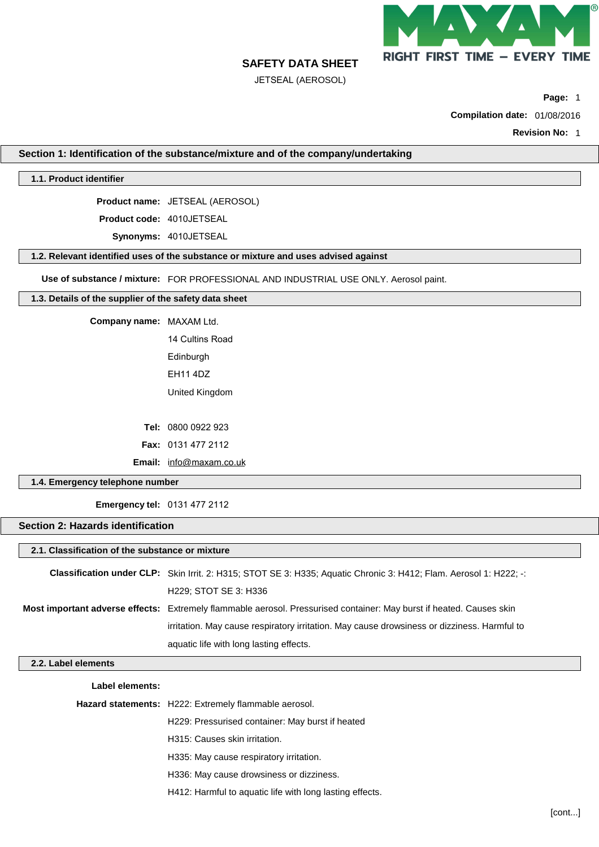

JETSEAL (AEROSOL)

**Page:** 1

**Compilation date:** 01/08/2016

**Revision No:** 1

**Section 1: Identification of the substance/mixture and of the company/undertaking**

## **1.1. Product identifier**

**Product name:** JETSEAL (AEROSOL)

**Product code:** 4010JETSEAL

**Synonyms:** 4010JETSEAL

# **1.2. Relevant identified uses of the substance or mixture and uses advised against**

**Use of substance / mixture:** FOR PROFESSIONAL AND INDUSTRIAL USE ONLY. Aerosol paint.

## **1.3. Details of the supplier of the safety data sheet**

**Company name:** MAXAM Ltd.

14 Cultins Road **Edinburgh** EH11 4DZ

United Kingdom

**Tel:** 0800 0922 923 **Fax:** 0131 477 2112 **Email:** info@[maxam.co.uk](mailto:info@maxam.co.uk) 

## **1.4. Emergency telephone number**

**Emergency tel:** 0131 477 2112

# **Section 2: Hazards identification**

| 2.1. Classification of the substance or mixture |                                                                                                                             |
|-------------------------------------------------|-----------------------------------------------------------------------------------------------------------------------------|
|                                                 | Classification under CLP: Skin Irrit. 2: H315; STOT SE 3: H335; Aquatic Chronic 3: H412; Flam. Aerosol 1: H222; -:          |
|                                                 | H229; STOT SE 3: H336                                                                                                       |
|                                                 | <b>Most important adverse effects:</b> Extremely flammable aerosol. Pressurised container: May burst if heated. Causes skin |
|                                                 | irritation. May cause respiratory irritation. May cause drowsiness or dizziness. Harmful to                                 |
|                                                 | aquatic life with long lasting effects.                                                                                     |
| 2.2. Label elements                             |                                                                                                                             |
| Label elements:                                 |                                                                                                                             |
|                                                 | Hazard statements: H222: Extremely flammable aerosol.                                                                       |
|                                                 | H229: Pressurised container: May burst if heated                                                                            |

H315: Causes skin irritation.

- H335: May cause respiratory irritation.
- H336: May cause drowsiness or dizziness.
- H412: Harmful to aquatic life with long lasting effects.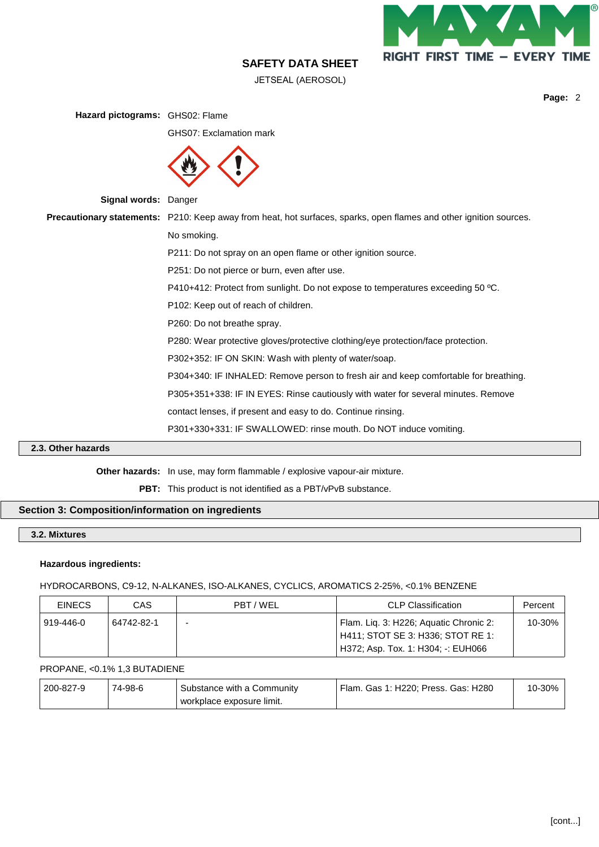

JETSEAL (AEROSOL)

**Page:** 2

| Hazard pictograms: GHS02: Flame |                                                                                                                           |
|---------------------------------|---------------------------------------------------------------------------------------------------------------------------|
|                                 | GHS07: Exclamation mark                                                                                                   |
|                                 |                                                                                                                           |
| Signal words: Danger            |                                                                                                                           |
|                                 | <b>Precautionary statements:</b> P210: Keep away from heat, hot surfaces, sparks, open flames and other ignition sources. |
|                                 | No smoking.                                                                                                               |
|                                 | P211: Do not spray on an open flame or other ignition source.                                                             |
|                                 | P251: Do not pierce or burn, even after use.                                                                              |
|                                 | P410+412: Protect from sunlight. Do not expose to temperatures exceeding 50 °C.                                           |
|                                 | P102: Keep out of reach of children.                                                                                      |
|                                 | P260: Do not breathe spray.                                                                                               |
|                                 | P280: Wear protective gloves/protective clothing/eye protection/face protection.                                          |
|                                 | P302+352: IF ON SKIN: Wash with plenty of water/soap.                                                                     |
|                                 | P304+340: IF INHALED: Remove person to fresh air and keep comfortable for breathing.                                      |
|                                 | P305+351+338: IF IN EYES: Rinse cautiously with water for several minutes. Remove                                         |
|                                 | contact lenses, if present and easy to do. Continue rinsing.                                                              |
|                                 | P301+330+331: IF SWALLOWED: rinse mouth. Do NOT induce vomiting.                                                          |

# **2.3. Other hazards**

**Other hazards:** In use, may form flammable / explosive vapour-air mixture.

PBT: This product is not identified as a PBT/vPvB substance.

# **Section 3: Composition/information on ingredients**

# **3.2. Mixtures**

## **Hazardous ingredients:**

HYDROCARBONS, C9-12, N-ALKANES, ISO-ALKANES, CYCLICS, AROMATICS 2-25%, <0.1% BENZENE

| <b>EINECS</b> | CAS        | PBT/WEL | <b>CLP Classification</b>                                                                                         | Percent |
|---------------|------------|---------|-------------------------------------------------------------------------------------------------------------------|---------|
| 919-446-0     | 64742-82-1 |         | Flam. Lig. 3: H226; Aguatic Chronic 2:<br>H411; STOT SE 3: H336; STOT RE 1:<br>H372; Asp. Tox. 1: H304; -: EUH066 | 10-30%  |

#### PROPANE, <0.1% 1,3 BUTADIENE

| 200-827-9 | 74-98-6 | Substance with a Community | Flam. Gas 1: H220; Press. Gas: H280 | 10-30% |
|-----------|---------|----------------------------|-------------------------------------|--------|
|           |         | workplace exposure limit.  |                                     |        |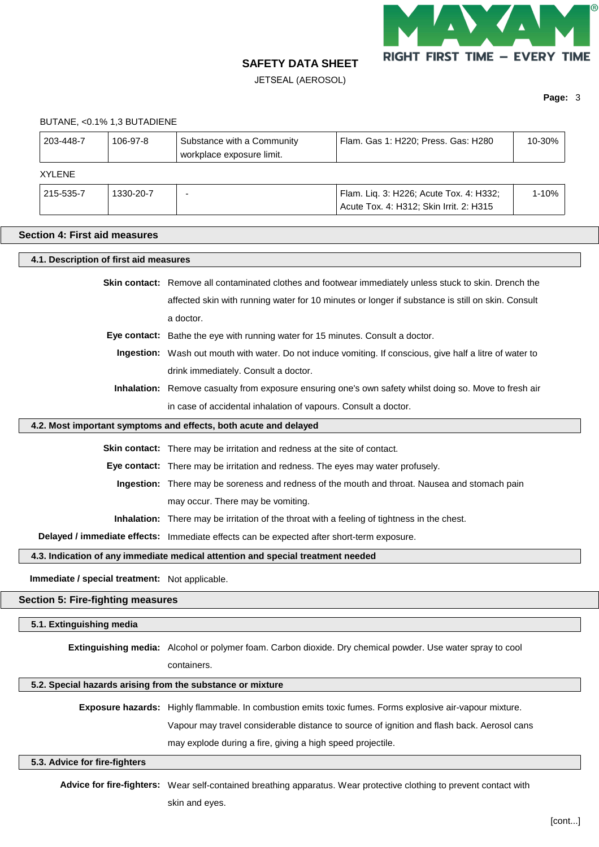

JETSEAL (AEROSOL)

**Page:** 3

|                                      | BUTANE, <0.1% 1,3 BUTADIENE                    |                                                                                                    |                                                                                                                     |        |  |  |
|--------------------------------------|------------------------------------------------|----------------------------------------------------------------------------------------------------|---------------------------------------------------------------------------------------------------------------------|--------|--|--|
| 203-448-7                            | 106-97-8                                       | Substance with a Community<br>workplace exposure limit.                                            | Flam. Gas 1: H220; Press. Gas: H280                                                                                 | 10-30% |  |  |
| <b>XYLENE</b>                        |                                                |                                                                                                    |                                                                                                                     |        |  |  |
| 215-535-7                            | 1330-20-7                                      |                                                                                                    | Flam. Liq. 3: H226; Acute Tox. 4: H332;<br>Acute Tox. 4: H312; Skin Irrit. 2: H315                                  | 1-10%  |  |  |
| <b>Section 4: First aid measures</b> |                                                |                                                                                                    |                                                                                                                     |        |  |  |
|                                      |                                                |                                                                                                    |                                                                                                                     |        |  |  |
|                                      | 4.1. Description of first aid measures         |                                                                                                    |                                                                                                                     |        |  |  |
|                                      |                                                |                                                                                                    | <b>Skin contact:</b> Remove all contaminated clothes and footwear immediately unless stuck to skin. Drench the      |        |  |  |
|                                      |                                                |                                                                                                    | affected skin with running water for 10 minutes or longer if substance is still on skin. Consult                    |        |  |  |
|                                      |                                                | a doctor.                                                                                          |                                                                                                                     |        |  |  |
|                                      |                                                | Eye contact: Bathe the eye with running water for 15 minutes. Consult a doctor.                    |                                                                                                                     |        |  |  |
|                                      |                                                |                                                                                                    | Ingestion: Wash out mouth with water. Do not induce vomiting. If conscious, give half a litre of water to           |        |  |  |
|                                      |                                                | drink immediately. Consult a doctor.                                                               |                                                                                                                     |        |  |  |
|                                      |                                                |                                                                                                    | Inhalation: Remove casualty from exposure ensuring one's own safety whilst doing so. Move to fresh air              |        |  |  |
|                                      |                                                | in case of accidental inhalation of vapours. Consult a doctor.                                     |                                                                                                                     |        |  |  |
|                                      |                                                | 4.2. Most important symptoms and effects, both acute and delayed                                   |                                                                                                                     |        |  |  |
|                                      |                                                | Skin contact: There may be irritation and redness at the site of contact.                          |                                                                                                                     |        |  |  |
|                                      |                                                | Eye contact: There may be irritation and redness. The eyes may water profusely.                    |                                                                                                                     |        |  |  |
|                                      |                                                | Ingestion: There may be soreness and redness of the mouth and throat. Nausea and stomach pain      |                                                                                                                     |        |  |  |
|                                      |                                                | may occur. There may be vomiting.                                                                  |                                                                                                                     |        |  |  |
|                                      |                                                | <b>Inhalation:</b> There may be irritation of the throat with a feeling of tightness in the chest. |                                                                                                                     |        |  |  |
|                                      |                                                | Delayed / immediate effects: Immediate effects can be expected after short-term exposure.          |                                                                                                                     |        |  |  |
|                                      |                                                | 4.3. Indication of any immediate medical attention and special treatment needed                    |                                                                                                                     |        |  |  |
|                                      |                                                |                                                                                                    |                                                                                                                     |        |  |  |
|                                      | Immediate / special treatment: Not applicable. |                                                                                                    |                                                                                                                     |        |  |  |
|                                      | <b>Section 5: Fire-fighting measures</b>       |                                                                                                    |                                                                                                                     |        |  |  |
| 5.1. Extinguishing media             |                                                |                                                                                                    |                                                                                                                     |        |  |  |
|                                      |                                                |                                                                                                    | Extinguishing media: Alcohol or polymer foam. Carbon dioxide. Dry chemical powder. Use water spray to cool          |        |  |  |
|                                      |                                                | containers.                                                                                        |                                                                                                                     |        |  |  |
|                                      |                                                | 5.2. Special hazards arising from the substance or mixture                                         |                                                                                                                     |        |  |  |
|                                      |                                                |                                                                                                    |                                                                                                                     |        |  |  |
|                                      |                                                |                                                                                                    | Exposure hazards: Highly flammable. In combustion emits toxic fumes. Forms explosive air-vapour mixture.            |        |  |  |
|                                      |                                                |                                                                                                    | Vapour may travel considerable distance to source of ignition and flash back. Aerosol cans                          |        |  |  |
|                                      |                                                | may explode during a fire, giving a high speed projectile.                                         |                                                                                                                     |        |  |  |
| 5.3. Advice for fire-fighters        |                                                |                                                                                                    |                                                                                                                     |        |  |  |
|                                      |                                                |                                                                                                    | Advice for fire-fighters: Wear self-contained breathing apparatus. Wear protective clothing to prevent contact with |        |  |  |
|                                      |                                                | skin and eyes.                                                                                     |                                                                                                                     |        |  |  |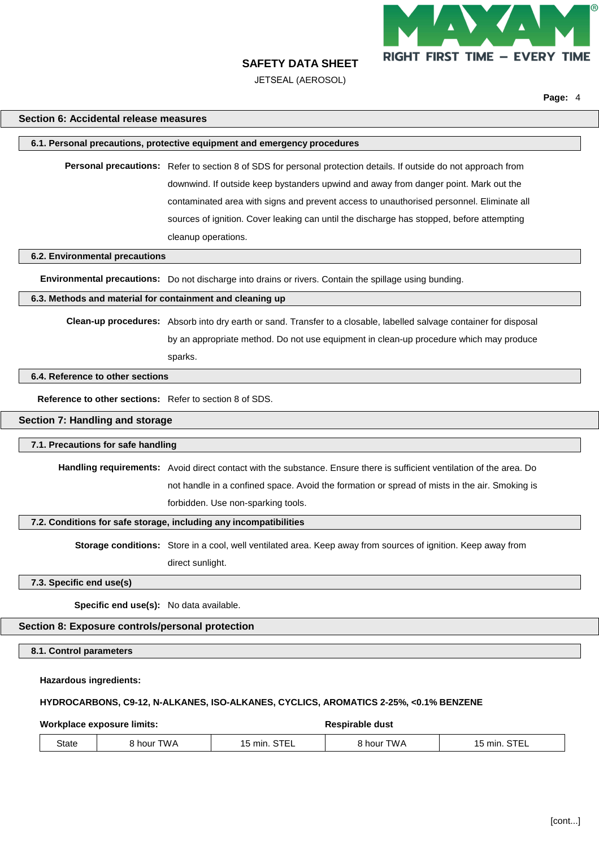

JETSEAL (AEROSOL)

**Page:** 4

## **Section 6: Accidental release measures**

#### **6.1. Personal precautions, protective equipment and emergency procedures**

**Personal precautions:** Refer to section 8 of SDS for personal protection details. If outside do not approach from downwind. If outside keep bystanders upwind and away from danger point. Mark out the contaminated area with signs and prevent access to unauthorised personnel. Eliminate all sources of ignition. Cover leaking can until the discharge has stopped, before attempting cleanup operations.

#### **6.2. Environmental precautions**

**Environmental precautions:** Do not discharge into drains or rivers. Contain the spillage using bunding.

## **6.3. Methods and material for containment and cleaning up**

**Clean-up procedures:** Absorb into dry earth or sand. Transfer to a closable, labelled salvage container for disposal by an appropriate method. Do not use equipment in clean-up procedure which may produce sparks.

#### **6.4. Reference to other sections**

**Reference to other sections:** Refer to section 8 of SDS.

#### **Section 7: Handling and storage**

#### **7.1. Precautions for safe handling**

**Handling requirements:** Avoid direct contact with the substance. Ensure there is sufficient ventilation of the area. Do not handle in a confined space. Avoid the formation or spread of mists in the air. Smoking is forbidden. Use non-sparking tools.

## **7.2. Conditions for safe storage, including any incompatibilities**

**Storage conditions:** Store in a cool, well ventilated area. Keep away from sources of ignition. Keep away from

direct sunlight.

## **7.3. Specific end use(s)**

**Specific end use(s):** No data available.

#### **Section 8: Exposure controls/personal protection**

**8.1. Control parameters**

**Hazardous ingredients:**

#### **HYDROCARBONS, C9-12, N-ALKANES, ISO-ALKANES, CYCLICS, AROMATICS 2-25%, <0.1% BENZENE**

**Workplace exposure limits:**  $\bullet$  **Respirable** dust

| <b>State</b> | .WA<br>hour | ~--<br>min<br>-<br>.<br>--- | $\overline{\phantom{a}}$<br>hour<br>VV A | $- - -$<br>min.<br>15<br>. |
|--------------|-------------|-----------------------------|------------------------------------------|----------------------------|
|--------------|-------------|-----------------------------|------------------------------------------|----------------------------|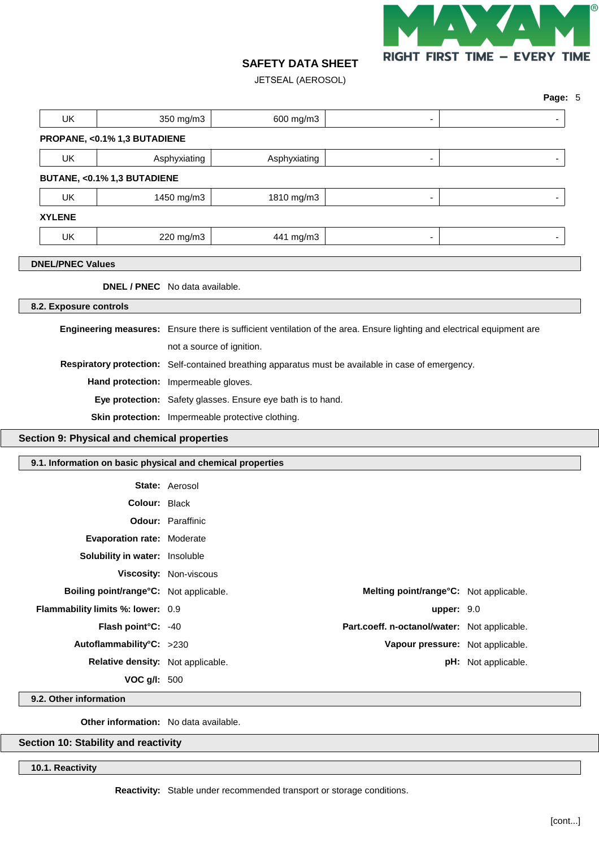

JETSEAL (AEROSOL)

| <b>UK</b>               |                                                                  | 350 mg/m3                | 600 mg/m3                                                                                          | -                                                                                                                      |                                  |
|-------------------------|------------------------------------------------------------------|--------------------------|----------------------------------------------------------------------------------------------------|------------------------------------------------------------------------------------------------------------------------|----------------------------------|
|                         | PROPANE, <0.1% 1,3 BUTADIENE                                     |                          |                                                                                                    |                                                                                                                        |                                  |
| UK                      | Asphyxiating                                                     |                          | Asphyxiating                                                                                       | ٠                                                                                                                      |                                  |
|                         | BUTANE, <0.1% 1,3 BUTADIENE                                      |                          |                                                                                                    |                                                                                                                        |                                  |
| UK                      |                                                                  | 1450 mg/m3               | 1810 mg/m3                                                                                         | -                                                                                                                      |                                  |
| <b>XYLENE</b>           |                                                                  |                          |                                                                                                    |                                                                                                                        |                                  |
| UK                      |                                                                  | 220 mg/m3                | 441 mg/m3                                                                                          |                                                                                                                        |                                  |
|                         |                                                                  |                          |                                                                                                    |                                                                                                                        |                                  |
| <b>DNEL/PNEC Values</b> |                                                                  |                          |                                                                                                    |                                                                                                                        |                                  |
|                         | <b>DNEL / PNEC</b> No data available.                            |                          |                                                                                                    |                                                                                                                        |                                  |
| 8.2. Exposure controls  |                                                                  |                          |                                                                                                    |                                                                                                                        |                                  |
|                         |                                                                  |                          |                                                                                                    | Engineering measures: Ensure there is sufficient ventilation of the area. Ensure lighting and electrical equipment are |                                  |
|                         |                                                                  |                          | not a source of ignition.                                                                          |                                                                                                                        |                                  |
|                         |                                                                  |                          | Respiratory protection: Self-contained breathing apparatus must be available in case of emergency. |                                                                                                                        |                                  |
|                         |                                                                  |                          |                                                                                                    |                                                                                                                        |                                  |
|                         | Hand protection: Impermeable gloves.                             |                          |                                                                                                    |                                                                                                                        |                                  |
|                         |                                                                  |                          | Eye protection: Safety glasses. Ensure eye bath is to hand.                                        |                                                                                                                        |                                  |
|                         |                                                                  |                          | Skin protection: Impermeable protective clothing.                                                  |                                                                                                                        |                                  |
|                         | Section 9: Physical and chemical properties                      |                          |                                                                                                    |                                                                                                                        |                                  |
|                         |                                                                  |                          |                                                                                                    |                                                                                                                        |                                  |
|                         |                                                                  |                          | 9.1. Information on basic physical and chemical properties                                         |                                                                                                                        |                                  |
|                         |                                                                  | <b>State: Aerosol</b>    |                                                                                                    |                                                                                                                        |                                  |
|                         | Colour: Black                                                    |                          |                                                                                                    |                                                                                                                        |                                  |
|                         |                                                                  | <b>Odour: Paraffinic</b> |                                                                                                    |                                                                                                                        |                                  |
|                         | <b>Evaporation rate: Moderate</b>                                |                          |                                                                                                    |                                                                                                                        |                                  |
|                         | Solubility in water: Insoluble                                   |                          |                                                                                                    |                                                                                                                        |                                  |
|                         | Viscosity: Non-viscous<br>Boiling point/range°C: Not applicable. |                          |                                                                                                    | Melting point/range°C: Not applicable.                                                                                 |                                  |
|                         | Flammability limits %: lower: 0.9                                |                          |                                                                                                    |                                                                                                                        | upper: 9.0                       |
|                         | Flash point°C: -40                                               |                          |                                                                                                    | Part.coeff. n-octanol/water: Not applicable.                                                                           |                                  |
|                         | Autoflammability°C: >230                                         |                          |                                                                                                    |                                                                                                                        | Vapour pressure: Not applicable. |
|                         | Relative density: Not applicable.                                |                          |                                                                                                    |                                                                                                                        | pH: Not applicable.              |

**9.2. Other information**

**Other information:** No data available.

**Section 10: Stability and reactivity**

**10.1. Reactivity**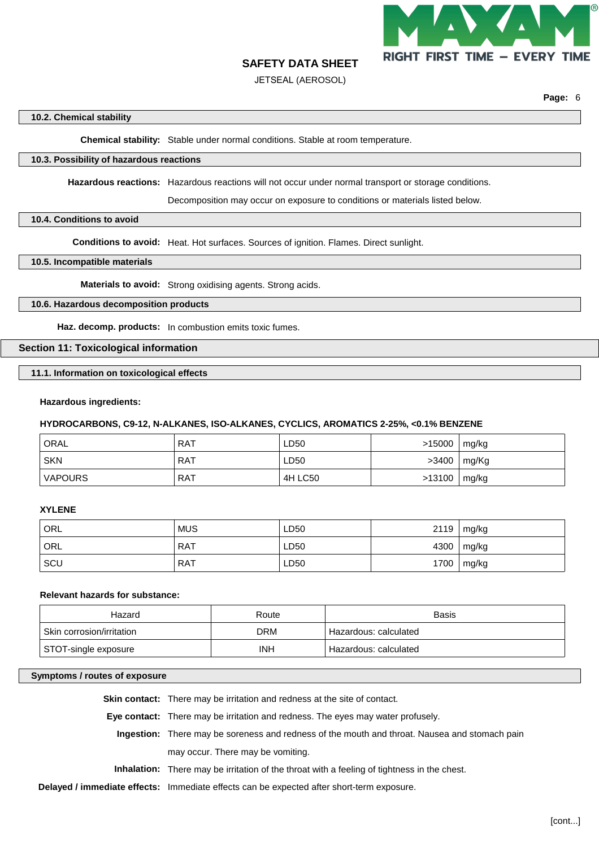

JETSEAL (AEROSOL)

**Page:** 6

## **10.2. Chemical stability**

**Chemical stability:** Stable under normal conditions. Stable at room temperature.

## **10.3. Possibility of hazardous reactions**

**Hazardous reactions:** Hazardous reactions will not occur under normal transport or storage conditions.

Decomposition may occur on exposure to conditions or materials listed below.

## **10.4. Conditions to avoid**

**Conditions to avoid:** Heat. Hot surfaces. Sources of ignition. Flames. Direct sunlight.

## **10.5. Incompatible materials**

**Materials to avoid:** Strong oxidising agents. Strong acids.

## **10.6. Hazardous decomposition products**

**Haz. decomp. products:** In combustion emits toxic fumes.

## **Section 11: Toxicological information**

**11.1. Information on toxicological effects**

## **Hazardous ingredients:**

## **HYDROCARBONS, C9-12, N-ALKANES, ISO-ALKANES, CYCLICS, AROMATICS 2-25%, <0.1% BENZENE**

| ORAL           | <b>RAT</b> | LD50    | >15000 | mg/kg |
|----------------|------------|---------|--------|-------|
| <b>SKN</b>     | RAT        | LD50    | >3400  | mg/Kg |
| <b>VAPOURS</b> | RAT        | 4H LC50 | >13100 | mg/kg |

#### **XYLENE**

| ORL | <b>MUS</b> | LD50 | 2119 | mg/kg |
|-----|------------|------|------|-------|
| ORL | <b>RAT</b> | LD50 | 4300 | mg/kg |
| SCU | <b>RAT</b> | LD50 | 1700 | mg/kg |

#### **Relevant hazards for substance:**

| Hazard                    | Route | Basis                 |
|---------------------------|-------|-----------------------|
| Skin corrosion/irritation | DRM   | Hazardous: calculated |
| STOT-single exposure      | INH   | Hazardous: calculated |

## **Symptoms / routes of exposure**

**Skin contact:** There may be irritation and redness at the site of contact.

**Eye contact:** There may be irritation and redness. The eyes may water profusely.

- **Ingestion:** There may be soreness and redness of the mouth and throat. Nausea and stomach pain may occur. There may be vomiting.
- **Inhalation:** There may be irritation of the throat with a feeling of tightness in the chest.

**Delayed / immediate effects:** Immediate effects can be expected after short-term exposure.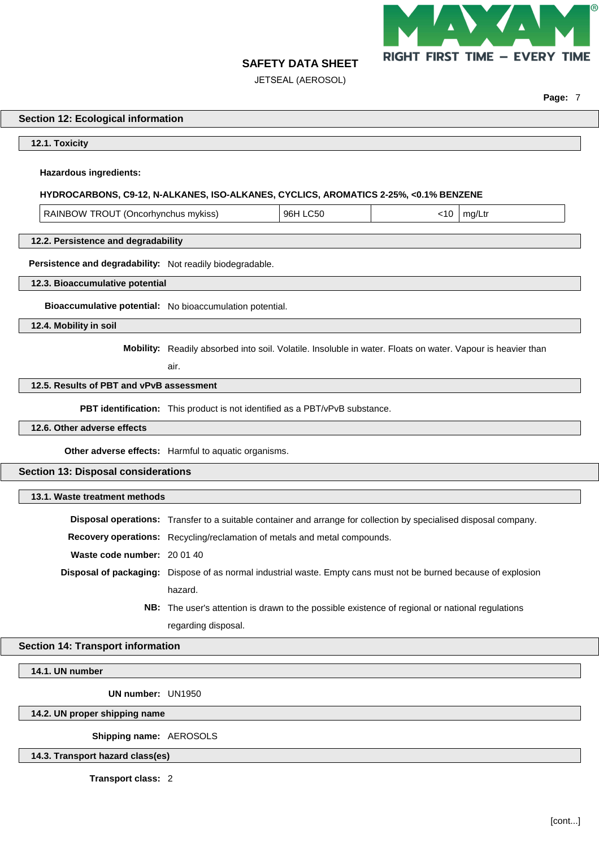

**Page:** 7

# **SAFETY DATA SHEET**

JETSEAL (AEROSOL)

## **Section 12: Ecological information**

**12.1. Toxicity**

## **Hazardous ingredients:**

#### **HYDROCARBONS, C9-12, N-ALKANES, ISO-ALKANES, CYCLICS, AROMATICS 2-25%, <0.1% BENZENE**

| TROUT (Oncorhynchus mykiss)<br>RAINBOW | 96H<br>CЫ | ٠1٢. | ma |
|----------------------------------------|-----------|------|----|
|----------------------------------------|-----------|------|----|

## **12.2. Persistence and degradability**

**Persistence and degradability:** Not readily biodegradable.

#### **12.3. Bioaccumulative potential**

**Bioaccumulative potential:** No bioaccumulation potential.

**12.4. Mobility in soil**

**Mobility:** Readily absorbed into soil. Volatile. Insoluble in water. Floats on water. Vapour is heavier than

air.

## **12.5. Results of PBT and vPvB assessment**

**PBT identification:** This product is not identified as a PBT/vPvB substance.

#### **12.6. Other adverse effects**

**Other adverse effects:** Harmful to aquatic organisms.

## **Section 13: Disposal considerations**

## **13.1. Waste treatment methods**

|                             | Disposal operations: Transfer to a suitable container and arrange for collection by specialised disposal company. |
|-----------------------------|-------------------------------------------------------------------------------------------------------------------|
|                             | <b>Recovery operations:</b> Recycling/reclamation of metals and metal compounds.                                  |
| Waste code number: 20 01 40 |                                                                                                                   |
|                             | Disposal of packaging: Dispose of as normal industrial waste. Empty cans must not be burned because of explosion  |
|                             | hazard.                                                                                                           |

**NB:** The user's attention is drawn to the possible existence of regional or national regulations regarding disposal.

## **Section 14: Transport information**

#### **14.1. UN number**

**UN number:** UN1950

**14.2. UN proper shipping name**

**Shipping name:** AEROSOLS

**14.3. Transport hazard class(es)**

**Transport class:** 2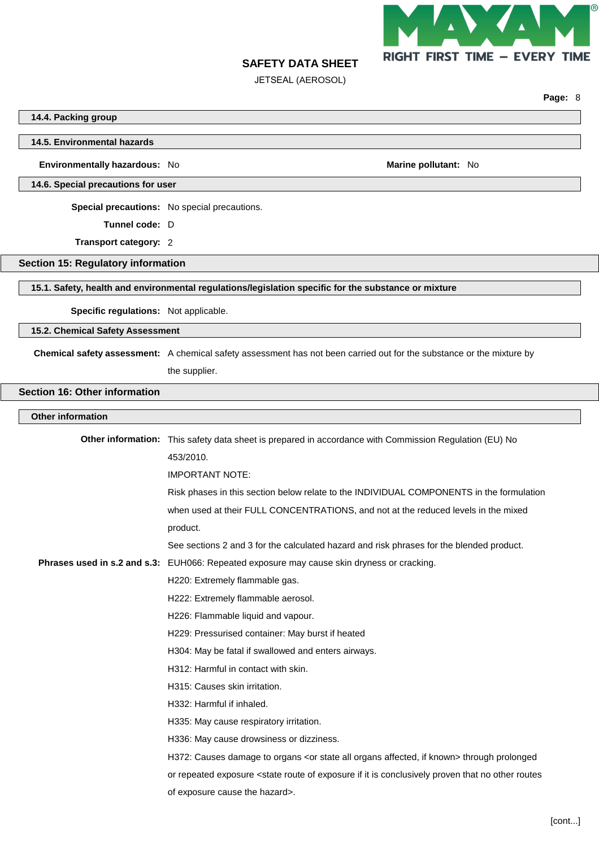

JETSEAL (AEROSOL)

|                                                                                                      |                                                                                                                                                                       | Page: 8 |  |
|------------------------------------------------------------------------------------------------------|-----------------------------------------------------------------------------------------------------------------------------------------------------------------------|---------|--|
| 14.4. Packing group                                                                                  |                                                                                                                                                                       |         |  |
| 14.5. Environmental hazards                                                                          |                                                                                                                                                                       |         |  |
|                                                                                                      |                                                                                                                                                                       |         |  |
| Environmentally hazardous: No                                                                        | Marine pollutant: No                                                                                                                                                  |         |  |
| 14.6. Special precautions for user                                                                   |                                                                                                                                                                       |         |  |
|                                                                                                      | Special precautions: No special precautions.                                                                                                                          |         |  |
| Tunnel code: D                                                                                       |                                                                                                                                                                       |         |  |
| Transport category: 2                                                                                |                                                                                                                                                                       |         |  |
| <b>Section 15: Regulatory information</b>                                                            |                                                                                                                                                                       |         |  |
| 15.1. Safety, health and environmental regulations/legislation specific for the substance or mixture |                                                                                                                                                                       |         |  |
|                                                                                                      |                                                                                                                                                                       |         |  |
| Specific regulations: Not applicable.                                                                |                                                                                                                                                                       |         |  |
| 15.2. Chemical Safety Assessment                                                                     |                                                                                                                                                                       |         |  |
|                                                                                                      | Chemical safety assessment: A chemical safety assessment has not been carried out for the substance or the mixture by                                                 |         |  |
|                                                                                                      | the supplier.                                                                                                                                                         |         |  |
| <b>Section 16: Other information</b>                                                                 |                                                                                                                                                                       |         |  |
| <b>Other information</b>                                                                             |                                                                                                                                                                       |         |  |
|                                                                                                      | Other information: This safety data sheet is prepared in accordance with Commission Regulation (EU) No                                                                |         |  |
|                                                                                                      | 453/2010.                                                                                                                                                             |         |  |
|                                                                                                      | <b>IMPORTANT NOTE:</b>                                                                                                                                                |         |  |
|                                                                                                      | Risk phases in this section below relate to the INDIVIDUAL COMPONENTS in the formulation                                                                              |         |  |
|                                                                                                      | when used at their FULL CONCENTRATIONS, and not at the reduced levels in the mixed                                                                                    |         |  |
|                                                                                                      | product.                                                                                                                                                              |         |  |
|                                                                                                      | See sections 2 and 3 for the calculated hazard and risk phrases for the blended product.                                                                              |         |  |
|                                                                                                      | Phrases used in s.2 and s.3: EUH066: Repeated exposure may cause skin dryness or cracking.                                                                            |         |  |
|                                                                                                      | H220: Extremely flammable gas.                                                                                                                                        |         |  |
|                                                                                                      | H222: Extremely flammable aerosol.                                                                                                                                    |         |  |
|                                                                                                      | H226: Flammable liquid and vapour.                                                                                                                                    |         |  |
|                                                                                                      | H229: Pressurised container: May burst if heated                                                                                                                      |         |  |
|                                                                                                      | H304: May be fatal if swallowed and enters airways.                                                                                                                   |         |  |
|                                                                                                      | H312: Harmful in contact with skin.                                                                                                                                   |         |  |
|                                                                                                      | H315: Causes skin irritation.                                                                                                                                         |         |  |
|                                                                                                      | H332: Harmful if inhaled.                                                                                                                                             |         |  |
|                                                                                                      | H335: May cause respiratory irritation.                                                                                                                               |         |  |
|                                                                                                      | H336: May cause drowsiness or dizziness.                                                                                                                              |         |  |
|                                                                                                      | H372: Causes damage to organs <or affected,="" all="" if="" known="" organs="" state=""> through prolonged</or>                                                       |         |  |
|                                                                                                      | or repeated exposure <state conclusively="" exposure="" if="" is="" it="" no="" of="" other="" proven="" route="" routes<="" th="" that=""><th></th><th></th></state> |         |  |
|                                                                                                      | of exposure cause the hazard>.                                                                                                                                        |         |  |